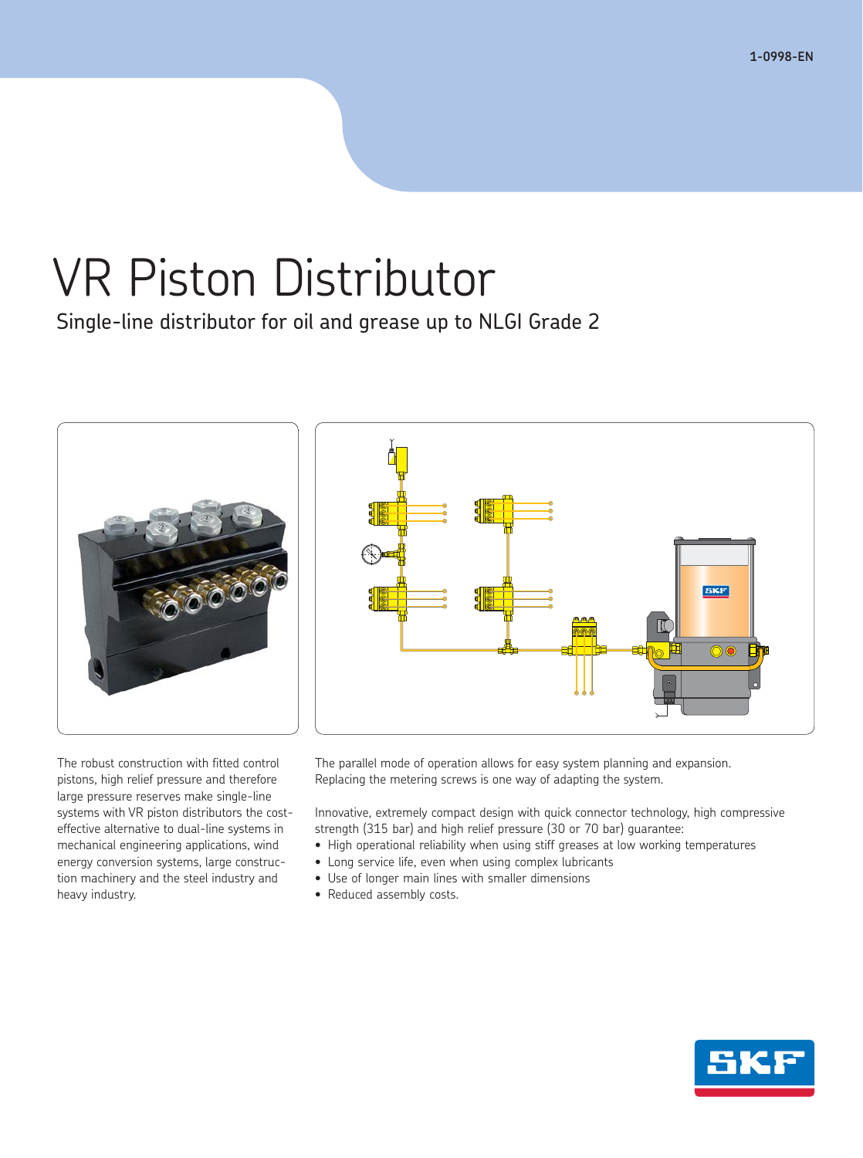# VR Piston Distributor

Single-line distributor for oil and grease up to NLGI Grade 2



The robust construction with fitted control pistons, high relief pressure and therefore large pressure reserves make single-line systems with VR piston distributors the costeffective alternative to dual-line systems in mechanical engineering applications, wind energy conversion systems, large construction machinery and the steel industry and heavy industry.

The parallel mode of operation allows for easy system planning and expansion. Replacing the metering screws is one way of adapting the system.

Innovative, extremely compact design with quick connector technology, high compressive strength (315 bar) and high relief pressure (30 or 70 bar) guarantee:

- High operational reliability when using stiff greases at low working temperatures
- Long service life, even when using complex lubricants
- Use of longer main lines with smaller dimensions
- Reduced assembly costs.

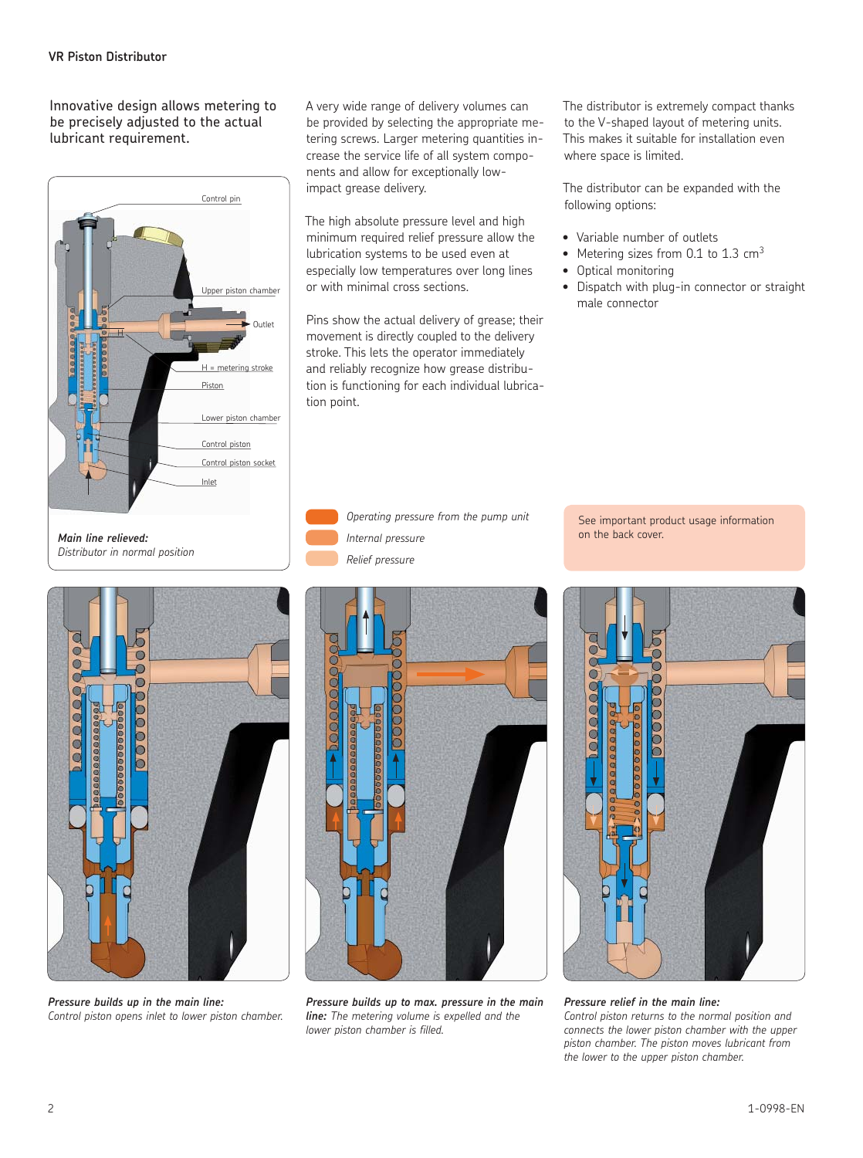Innovative design allows metering to be precisely adjusted to the actual lubricant requirement.



A very wide range of delivery volumes can be provided by selecting the appropriate metering screws. Larger metering quantities increase the service life of all system components and allow for exceptionally lowimpact grease delivery.

The high absolute pressure level and high minimum required relief pressure allow the lubrication systems to be used even at especially low temperatures over long lines or with minimal cross sections.

Pins show the actual delivery of grease; their movement is directly coupled to the delivery stroke. This lets the operator immediately and reliably recognize how grease distribution is functioning for each individual lubrication point.

 *Operating pressure from the pump unit Internal pressure Relief pressure*

The distributor is extremely compact thanks to the V-shaped layout of metering units. This makes it suitable for installation even where space is limited.

The distributor can be expanded with the following options:

- Variable number of outlets
- Metering sizes from 0.1 to 1.3  $cm<sup>3</sup>$
- Optical monitoring
- Dispatch with plug-in connector or straight male connector



*Pressure builds up in the main line: Control piston opens inlet to lower piston chamber.*



*line: The metering volume is expelled and the lower piston chamber is filled.*





*Pressure relief in the main line: Control piston returns to the normal position and connects the lower piston chamber with the upper piston chamber. The piston moves lubricant from the lower to the upper piston chamber.*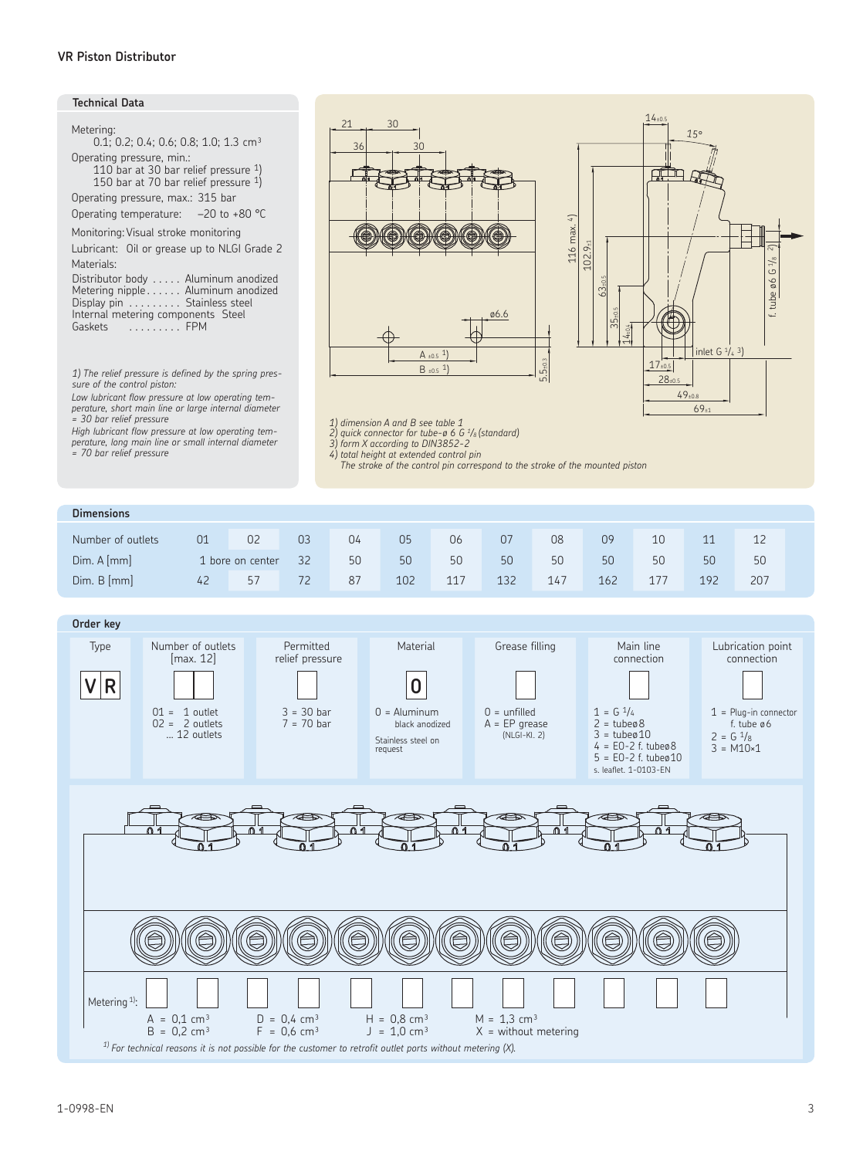## **Technical Data**

| Metering:<br>0.1: 0.2: 0.4: 0.6: 0.8: 1.0: 1.3 $cm3$                                                                                                             |
|------------------------------------------------------------------------------------------------------------------------------------------------------------------|
| Operating pressure, min.:<br>110 bar at 30 bar relief pressure 1)<br>150 bar at 70 bar relief pressure $1)$                                                      |
| Operating pressure, max.: 315 bar                                                                                                                                |
| Operating temperature: $-20$ to +80 °C                                                                                                                           |
| Monitoring: Visual stroke monitoring<br>Lubricant: Oil or grease up to NLGI Grade 2<br>Materials:                                                                |
| Distributor body Aluminum anodized<br>Metering nipple Aluminum anodized<br>Display pin Stainless steel<br>Internal metering components Steel<br>Gaskets<br>. FPM |

*1) The relief pressure is defined by the spring pressure of the control piston:* 

*Low lubricant flow pressure at low operating temperature, short main line or large internal diameter = 30 bar relief pressure*

*High lubricant flow pressure at low operating tem-perature, long main line or small internal diameter = 70 bar relief pressure*





1) dimension A and B see table 1<br>2) quick connector for tube-ø 6 G <sup>1</sup>/s (standard)<br>3) form X according to DIN3852-2

*4*) total height at extended control pin<br>The stroke of the control pin correspond to the stroke of the mounted piston

| <b>Dimensions</b> |    |                  |    |    |     |     |     |     |     |     |     |     |  |
|-------------------|----|------------------|----|----|-----|-----|-----|-----|-----|-----|-----|-----|--|
| Number of outlets | 01 | 02               | 03 | 04 | 05  | 06  | 07  | 08  | 09  | 10  | 11  | 12  |  |
| Dim. A [mm]       |    | 1 bore on center | 32 | 50 | 50  | 50  | 50  | 50  | 50  | 50  | 50  | 50  |  |
| Dim. B [mm]       | 42 | 57               | 72 | 87 | 102 | 117 | 132 | 147 | 162 | 177 | 192 | 207 |  |